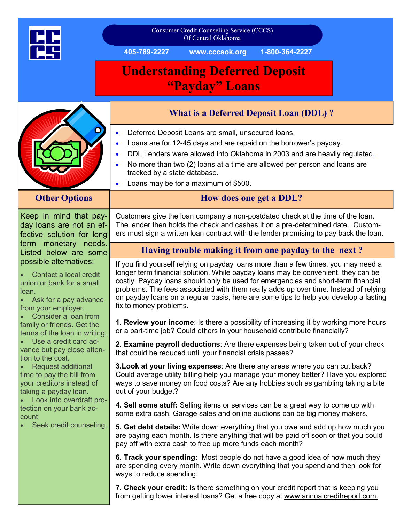|                                                                                                                                                                                                                                                                                                                                                                                                                                                                                                                                                                                                                                                    | Consumer Credit Counseling Service (CCCS)<br>Of Central Oklahoma                                                                                                                                                                                                                                                                                                                                                                                                       |
|----------------------------------------------------------------------------------------------------------------------------------------------------------------------------------------------------------------------------------------------------------------------------------------------------------------------------------------------------------------------------------------------------------------------------------------------------------------------------------------------------------------------------------------------------------------------------------------------------------------------------------------------------|------------------------------------------------------------------------------------------------------------------------------------------------------------------------------------------------------------------------------------------------------------------------------------------------------------------------------------------------------------------------------------------------------------------------------------------------------------------------|
|                                                                                                                                                                                                                                                                                                                                                                                                                                                                                                                                                                                                                                                    | www.cccsok.org<br>405-789-2227<br>1-800-364-2227                                                                                                                                                                                                                                                                                                                                                                                                                       |
|                                                                                                                                                                                                                                                                                                                                                                                                                                                                                                                                                                                                                                                    | <b>Understanding Deferred Deposit</b><br>"Payday" Loans                                                                                                                                                                                                                                                                                                                                                                                                                |
|                                                                                                                                                                                                                                                                                                                                                                                                                                                                                                                                                                                                                                                    | <b>What is a Deferred Deposit Loan (DDL)?</b>                                                                                                                                                                                                                                                                                                                                                                                                                          |
|                                                                                                                                                                                                                                                                                                                                                                                                                                                                                                                                                                                                                                                    | Deferred Deposit Loans are small, unsecured loans.<br>Loans are for 12-45 days and are repaid on the borrower's payday.<br>DDL Lenders were allowed into Oklahoma in 2003 and are heavily regulated.<br>No more than two (2) loans at a time are allowed per person and loans are<br>$\bullet$<br>tracked by a state database.<br>Loans may be for a maximum of \$500.<br>$\bullet$                                                                                    |
| <b>Other Options</b>                                                                                                                                                                                                                                                                                                                                                                                                                                                                                                                                                                                                                               | How does one get a DDL?                                                                                                                                                                                                                                                                                                                                                                                                                                                |
| Keep in mind that pay-<br>day loans are not an ef-<br>fective solution for long<br>term monetary needs.<br>Listed below are some<br>possible alternatives:<br>Contact a local credit<br>union or bank for a small<br>loan.<br>Ask for a pay advance<br>from your employer.<br>Consider a loan from<br>family or friends. Get the<br>terms of the loan in writing.<br>Use a credit card ad-<br>vance but pay close atten-<br>tion to the cost.<br>Request additional<br>time to pay the bill from<br>your creditors instead of<br>taking a payday loan.<br>Look into overdraft pro-<br>tection on your bank ac-<br>count<br>Seek credit counseling. | Customers give the loan company a non-postdated check at the time of the loan.<br>The lender then holds the check and cashes it on a pre-determined date. Custom-<br>ers must sign a written loan contract with the lender promising to pay back the loan.                                                                                                                                                                                                             |
|                                                                                                                                                                                                                                                                                                                                                                                                                                                                                                                                                                                                                                                    | Having trouble making it from one payday to the next?                                                                                                                                                                                                                                                                                                                                                                                                                  |
|                                                                                                                                                                                                                                                                                                                                                                                                                                                                                                                                                                                                                                                    | If you find yourself relying on payday loans more than a few times, you may need a<br>longer term financial solution. While payday loans may be convenient, they can be<br>costly. Payday loans should only be used for emergencies and short-term financial<br>problems. The fees associated with them really adds up over time. Instead of relying<br>on payday loans on a regular basis, here are some tips to help you develop a lasting<br>fix to money problems. |
|                                                                                                                                                                                                                                                                                                                                                                                                                                                                                                                                                                                                                                                    | 1. Review your income: Is there a possibility of increasing it by working more hours<br>or a part-time job? Could others in your household contribute financially?                                                                                                                                                                                                                                                                                                     |
|                                                                                                                                                                                                                                                                                                                                                                                                                                                                                                                                                                                                                                                    | 2. Examine payroll deductions: Are there expenses being taken out of your check<br>that could be reduced until your financial crisis passes?                                                                                                                                                                                                                                                                                                                           |
|                                                                                                                                                                                                                                                                                                                                                                                                                                                                                                                                                                                                                                                    | 3. Look at your living expenses: Are there any areas where you can cut back?<br>Could average utility billing help you manage your money better? Have you explored<br>ways to save money on food costs? Are any hobbies such as gambling taking a bite<br>out of your budget?                                                                                                                                                                                          |
|                                                                                                                                                                                                                                                                                                                                                                                                                                                                                                                                                                                                                                                    | 4. Sell some stuff: Selling items or services can be a great way to come up with<br>some extra cash. Garage sales and online auctions can be big money makers.                                                                                                                                                                                                                                                                                                         |
|                                                                                                                                                                                                                                                                                                                                                                                                                                                                                                                                                                                                                                                    | 5. Get debt details: Write down everything that you owe and add up how much you<br>are paying each month. Is there anything that will be paid off soon or that you could<br>pay off with extra cash to free up more funds each month?                                                                                                                                                                                                                                  |
|                                                                                                                                                                                                                                                                                                                                                                                                                                                                                                                                                                                                                                                    | 6. Track your spending: Most people do not have a good idea of how much they<br>are spending every month. Write down everything that you spend and then look for<br>ways to reduce spending.                                                                                                                                                                                                                                                                           |
|                                                                                                                                                                                                                                                                                                                                                                                                                                                                                                                                                                                                                                                    | 7. Check your credit: Is there something on your credit report that is keeping you<br>from getting lower interest loans? Get a free copy at www.annualcreditreport.com.                                                                                                                                                                                                                                                                                                |